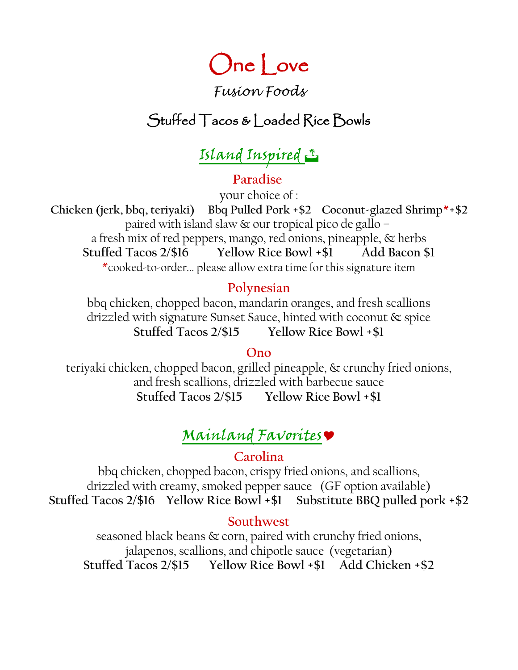# One Love

## *Fusion Foods*

## Stuffed Tacos & Loaded Rice Bowls

# Island Inspired J

## **Paradise**

your choice of :

 **Chicken (jerk, bbq, teriyaki) Bbq Pulled Pork +\$2 Coconut-glazed Shrimp\*+\$2** paired with island slaw & our tropical pico de gallo – a fresh mix of red peppers, mango, red onions, pineapple, & herbs **Stuffed Tacos 2/\$16 Yellow Rice Bowl +\$1 Add Bacon \$1** \*cooked-to-order... please allow extra time for this signature item

### **Polynesian**

bbq chicken, chopped bacon, mandarin oranges, and fresh scallions drizzled with signature Sunset Sauce, hinted with coconut & spice **Stuffed Tacos 2/\$15 Yellow Rice Bowl +\$1**

### **Ono**

teriyaki chicken, chopped bacon, grilled pineapple, & crunchy fried onions, and fresh scallions, drizzled with barbecue sauce **Stuffed Tacos 2/\$15 Yellow Rice Bowl +\$1**

# Mainland Favorites

### **Carolina**

bbq chicken, chopped bacon, crispy fried onions, and scallions, drizzled with creamy, smoked pepper sauce (GF option available) **Stuffed Tacos 2/\$16 Yellow Rice Bowl +\$1 Substitute BBQ pulled pork +\$2**

### **Southwest**

seasoned black beans & corn, paired with crunchy fried onions, jalapenos, scallions, and chipotle sauce (vegetarian) **Stuffed Tacos 2/\$15 Yellow Rice Bowl +\$1 Add Chicken +\$2**